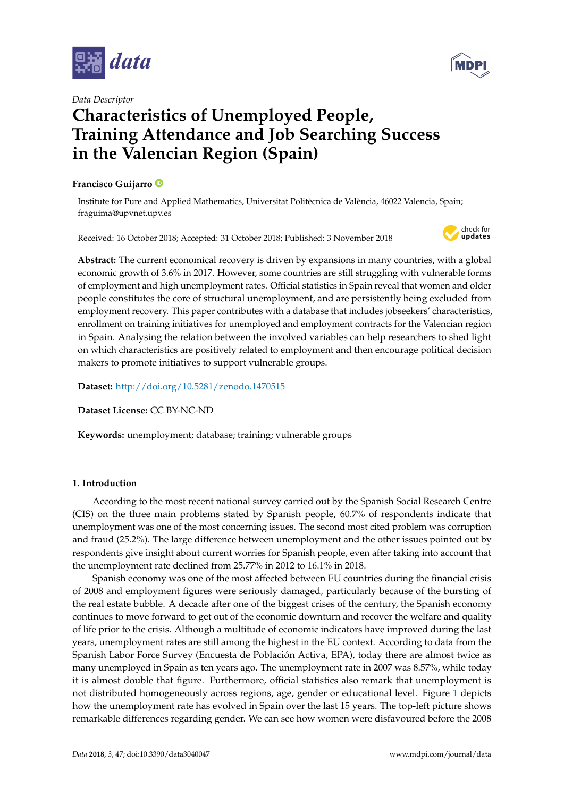

*Data Descriptor*

# **Characteristics of Unemployed People, Training Attendance and Job Searching Success in the Valencian Region (Spain)**

## **Francisco Guijarro**

Institute for Pure and Applied Mathematics, Universitat Politècnica de València, 46022 Valencia, Spain; fraguima@upvnet.upv.es

Received: 16 October 2018; Accepted: 31 October 2018; Published: 3 November 2018



**Abstract:** The current economical recovery is driven by expansions in many countries, with a global economic growth of 3.6% in 2017. However, some countries are still struggling with vulnerable forms of employment and high unemployment rates. Official statistics in Spain reveal that women and older people constitutes the core of structural unemployment, and are persistently being excluded from employment recovery. This paper contributes with a database that includes jobseekers' characteristics, enrollment on training initiatives for unemployed and employment contracts for the Valencian region in Spain. Analysing the relation between the involved variables can help researchers to shed light on which characteristics are positively related to employment and then encourage political decision makers to promote initiatives to support vulnerable groups.

**Dataset:** <http://doi.org/10.5281/zenodo.1470515>

**Dataset License:** CC BY-NC-ND

**Keywords:** unemployment; database; training; vulnerable groups

## **1. Introduction**

According to the most recent national survey carried out by the Spanish Social Research Centre (CIS) on the three main problems stated by Spanish people, 60.7% of respondents indicate that unemployment was one of the most concerning issues. The second most cited problem was corruption and fraud (25.2%). The large difference between unemployment and the other issues pointed out by respondents give insight about current worries for Spanish people, even after taking into account that the unemployment rate declined from 25.77% in 2012 to 16.1% in 2018.

Spanish economy was one of the most affected between EU countries during the financial crisis of 2008 and employment figures were seriously damaged, particularly because of the bursting of the real estate bubble. A decade after one of the biggest crises of the century, the Spanish economy continues to move forward to get out of the economic downturn and recover the welfare and quality of life prior to the crisis. Although a multitude of economic indicators have improved during the last years, unemployment rates are still among the highest in the EU context. According to data from the Spanish Labor Force Survey (Encuesta de Población Activa, EPA), today there are almost twice as many unemployed in Spain as ten years ago. The unemployment rate in 2007 was 8.57%, while today it is almost double that figure. Furthermore, official statistics also remark that unemployment is not distributed homogeneously across regions, age, gender or educational level. Figure [1](#page-1-0) depicts how the unemployment rate has evolved in Spain over the last 15 years. The top-left picture shows remarkable differences regarding gender. We can see how women were disfavoured before the 2008

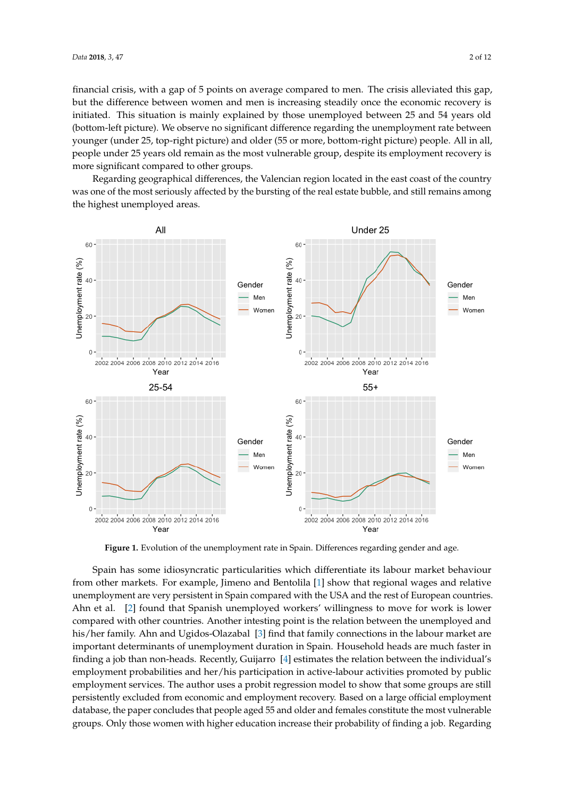financial crisis, with a gap of 5 points on average compared to men. The crisis alleviated this gap, but the difference between women and men is increasing steadily once the economic recovery is initiated. This situation is mainly explained by those unemployed between 25 and 54 years old (bottom-left picture). We observe no significant difference regarding the unemployment rate between younger (under 25, top-right picture) and older (55 or more, bottom-right picture) people. All in all, people under 25 years old remain as the most vulnerable group, despite its employment recovery is more significant compared to other groups.

Regarding geographical differences, the Valencian region located in the east coast of the country was one of the most seriously affected by the bursting of the real estate bubble, and still remains among the highest unemployed areas.

<span id="page-1-0"></span>

Figure 1. Evolution of the unemployment rate in Spain. Differences regarding gender and age.

Spain has some idiosyncratic particularities which differentiate its labour market behaviour from other markets. For example, Jimeno and Bentolila [\[1\]](#page-10-0) show that regional wages and relative unemployment are very persistent in Spain compared with the USA and the rest of European countries. Ahn et al. [\[2\]](#page-10-1) found that Spanish unemployed workers' willingness to move for work is lower compared with other countries. Another intesting point is the relation between the unemployed and his/her family. Ahn and Ugidos-Olazabal [\[3\]](#page-10-2) find that family connections in the labour market are important determinants of unemployment duration in Spain. Household heads are much faster in finding a job than non-heads. Recently, Guijarro [\[4\]](#page-10-3) estimates the relation between the individual's employment probabilities and her/his participation in active-labour activities promoted by public employment services. The author uses a probit regression model to show that some groups are still persistently excluded from economic and employment recovery. Based on a large official employment database, the paper concludes that people aged 55 and older and females constitute the most vulnerable groups. Only those women with higher education increase their probability of finding a job. Regarding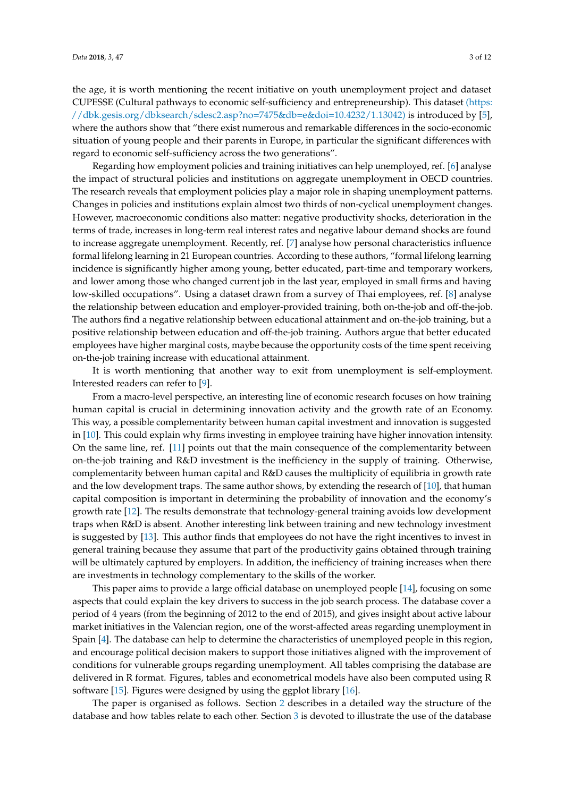the age, it is worth mentioning the recent initiative on youth unemployment project and dataset CUPESSE (Cultural pathways to economic self-sufficiency and entrepreneurship). This dataset [\(https:]((https://dbk.gesis.org/dbksearch/sdesc2.asp?no=7475&db=e&doi=10.4232/1.13042)) [//dbk.gesis.org/dbksearch/sdesc2.asp?no=7475&db=e&doi=10.4232/1.13042\)]((https://dbk.gesis.org/dbksearch/sdesc2.asp?no=7475&db=e&doi=10.4232/1.13042)) is introduced by [\[5\]](#page-10-4), where the authors show that "there exist numerous and remarkable differences in the socio-economic situation of young people and their parents in Europe, in particular the significant differences with regard to economic self-sufficiency across the two generations".

Regarding how employment policies and training initiatives can help unemployed, ref. [\[6\]](#page-10-5) analyse the impact of structural policies and institutions on aggregate unemployment in OECD countries. The research reveals that employment policies play a major role in shaping unemployment patterns. Changes in policies and institutions explain almost two thirds of non-cyclical unemployment changes. However, macroeconomic conditions also matter: negative productivity shocks, deterioration in the terms of trade, increases in long-term real interest rates and negative labour demand shocks are found to increase aggregate unemployment. Recently, ref. [\[7\]](#page-10-6) analyse how personal characteristics influence formal lifelong learning in 21 European countries. According to these authors, "formal lifelong learning incidence is significantly higher among young, better educated, part-time and temporary workers, and lower among those who changed current job in the last year, employed in small firms and having low-skilled occupations". Using a dataset drawn from a survey of Thai employees, ref. [\[8\]](#page-10-7) analyse the relationship between education and employer-provided training, both on-the-job and off-the-job. The authors find a negative relationship between educational attainment and on-the-job training, but a positive relationship between education and off-the-job training. Authors argue that better educated employees have higher marginal costs, maybe because the opportunity costs of the time spent receiving on-the-job training increase with educational attainment.

It is worth mentioning that another way to exit from unemployment is self-employment. Interested readers can refer to [\[9\]](#page-10-8).

From a macro-level perspective, an interesting line of economic research focuses on how training human capital is crucial in determining innovation activity and the growth rate of an Economy. This way, a possible complementarity between human capital investment and innovation is suggested in [\[10\]](#page-10-9). This could explain why firms investing in employee training have higher innovation intensity. On the same line, ref. [\[11\]](#page-10-10) points out that the main consequence of the complementarity between on-the-job training and R&D investment is the inefficiency in the supply of training. Otherwise, complementarity between human capital and R&D causes the multiplicity of equilibria in growth rate and the low development traps. The same author shows, by extending the research of [\[10\]](#page-10-9), that human capital composition is important in determining the probability of innovation and the economy's growth rate [\[12\]](#page-10-11). The results demonstrate that technology-general training avoids low development traps when R&D is absent. Another interesting link between training and new technology investment is suggested by [\[13\]](#page-10-12). This author finds that employees do not have the right incentives to invest in general training because they assume that part of the productivity gains obtained through training will be ultimately captured by employers. In addition, the inefficiency of training increases when there are investments in technology complementary to the skills of the worker.

This paper aims to provide a large official database on unemployed people [\[14\]](#page-11-0), focusing on some aspects that could explain the key drivers to success in the job search process. The database cover a period of 4 years (from the beginning of 2012 to the end of 2015), and gives insight about active labour market initiatives in the Valencian region, one of the worst-affected areas regarding unemployment in Spain [\[4\]](#page-10-3). The database can help to determine the characteristics of unemployed people in this region, and encourage political decision makers to support those initiatives aligned with the improvement of conditions for vulnerable groups regarding unemployment. All tables comprising the database are delivered in R format. Figures, tables and econometrical models have also been computed using R software [\[15\]](#page-11-1). Figures were designed by using the ggplot library [\[16\]](#page-11-2).

The paper is organised as follows. Section [2](#page-3-0) describes in a detailed way the structure of the database and how tables relate to each other. Section [3](#page-8-0) is devoted to illustrate the use of the database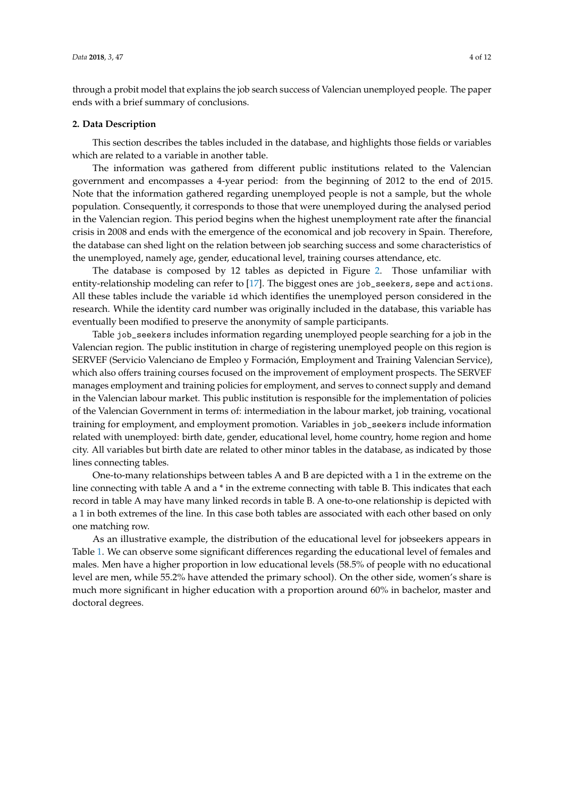through a probit model that explains the job search success of Valencian unemployed people. The paper ends with a brief summary of conclusions.

#### <span id="page-3-0"></span>**2. Data Description**

This section describes the tables included in the database, and highlights those fields or variables which are related to a variable in another table.

The information was gathered from different public institutions related to the Valencian government and encompasses a 4-year period: from the beginning of 2012 to the end of 2015. Note that the information gathered regarding unemployed people is not a sample, but the whole population. Consequently, it corresponds to those that were unemployed during the analysed period in the Valencian region. This period begins when the highest unemployment rate after the financial crisis in 2008 and ends with the emergence of the economical and job recovery in Spain. Therefore, the database can shed light on the relation between job searching success and some characteristics of the unemployed, namely age, gender, educational level, training courses attendance, etc.

The database is composed by 12 tables as depicted in Figure [2.](#page-4-0) Those unfamiliar with entity-relationship modeling can refer to [\[17\]](#page-11-3). The biggest ones are job\_seekers, sepe and actions. All these tables include the variable id which identifies the unemployed person considered in the research. While the identity card number was originally included in the database, this variable has eventually been modified to preserve the anonymity of sample participants.

Table job\_seekers includes information regarding unemployed people searching for a job in the Valencian region. The public institution in charge of registering unemployed people on this region is SERVEF (Servicio Valenciano de Empleo y Formación, Employment and Training Valencian Service), which also offers training courses focused on the improvement of employment prospects. The SERVEF manages employment and training policies for employment, and serves to connect supply and demand in the Valencian labour market. This public institution is responsible for the implementation of policies of the Valencian Government in terms of: intermediation in the labour market, job training, vocational training for employment, and employment promotion. Variables in job\_seekers include information related with unemployed: birth date, gender, educational level, home country, home region and home city. All variables but birth date are related to other minor tables in the database, as indicated by those lines connecting tables.

One-to-many relationships between tables A and B are depicted with a 1 in the extreme on the line connecting with table A and a \* in the extreme connecting with table B. This indicates that each record in table A may have many linked records in table B. A one-to-one relationship is depicted with a 1 in both extremes of the line. In this case both tables are associated with each other based on only one matching row.

As an illustrative example, the distribution of the educational level for jobseekers appears in Table [1.](#page-4-1) We can observe some significant differences regarding the educational level of females and males. Men have a higher proportion in low educational levels (58.5% of people with no educational level are men, while 55.2% have attended the primary school). On the other side, women's share is much more significant in higher education with a proportion around 60% in bachelor, master and doctoral degrees.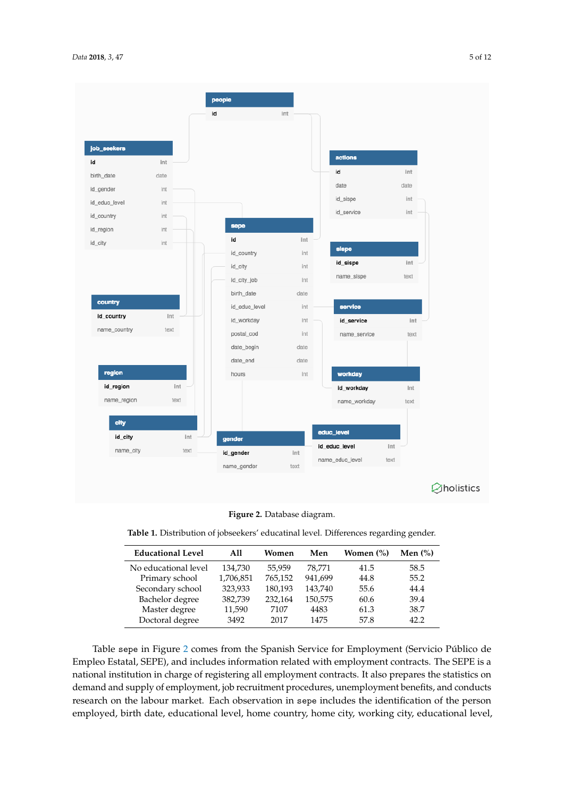<span id="page-4-0"></span>

**Figure 2.** Database diagram.

<span id="page-4-1"></span>**Table 1.** Distribution of jobseekers' educatinal level. Differences regarding gender.

| <b>Educational Level</b> | A11       | Women   | Men     | Women (%) | Men $(\%)$ |
|--------------------------|-----------|---------|---------|-----------|------------|
| No educational level     | 134,730   | 55.959  | 78,771  | 41.5      | 58.5       |
| Primary school           | 1,706,851 | 765,152 | 941,699 | 44.8      | 55.2       |
| Secondary school         | 323,933   | 180,193 | 143,740 | 55.6      | 44.4       |
| Bachelor degree          | 382,739   | 232,164 | 150,575 | 60.6      | 39.4       |
| Master degree            | 11,590    | 7107    | 4483    | 61.3      | 38.7       |
| Doctoral degree          | 3492      | 2017    | 1475    | 57.8      | 42.2       |
|                          |           |         |         |           |            |

Table sepe in Figure [2](#page-4-0) comes from the Spanish Service for Employment (Servicio Público de Empleo Estatal, SEPE), and includes information related with employment contracts. The SEPE is a national institution in charge of registering all employment contracts. It also prepares the statistics on demand and supply of employment, job recruitment procedures, unemployment benefits, and conducts research on the labour market. Each observation in sepe includes the identification of the person employed, birth date, educational level, home country, home city, working city, educational level,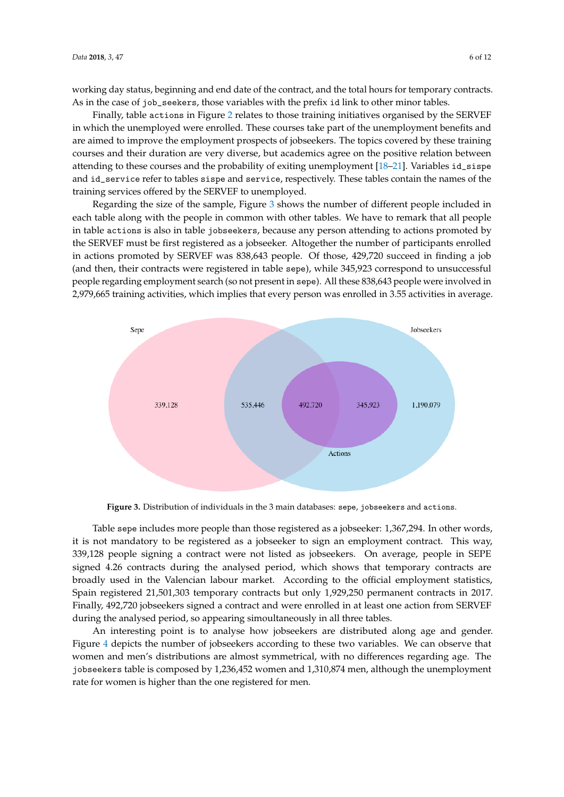working day status, beginning and end date of the contract, and the total hours for temporary contracts. As in the case of job\_seekers, those variables with the prefix id link to other minor tables.

Finally, table actions in Figure [2](#page-4-0) relates to those training initiatives organised by the SERVEF in which the unemployed were enrolled. These courses take part of the unemployment benefits and are aimed to improve the employment prospects of jobseekers. The topics covered by these training courses and their duration are very diverse, but academics agree on the positive relation between attending to these courses and the probability of exiting unemployment [\[18–](#page-11-4)[21\]](#page-11-5). Variables id\_sispe and id\_service refer to tables sispe and service, respectively. These tables contain the names of the training services offered by the SERVEF to unemployed.

Regarding the size of the sample, Figure [3](#page-5-0) shows the number of different people included in each table along with the people in common with other tables. We have to remark that all people in table actions is also in table jobseekers, because any person attending to actions promoted by the SERVEF must be first registered as a jobseeker. Altogether the number of participants enrolled in actions promoted by SERVEF was 838,643 people. Of those, 429,720 succeed in finding a job (and then, their contracts were registered in table sepe), while 345,923 correspond to unsuccessful people regarding employment search (so not present in sepe). All these 838,643 people were involved in 2,979,665 training activities, which implies that every person was enrolled in 3.55 activities in average.

<span id="page-5-0"></span>

**Figure 3.** Distribution of individuals in the 3 main databases: sepe, jobseekers and actions.

Table sepe includes more people than those registered as a jobseeker: 1,367,294. In other words, it is not mandatory to be registered as a jobseeker to sign an employment contract. This way, 339,128 people signing a contract were not listed as jobseekers. On average, people in SEPE signed 4.26 contracts during the analysed period, which shows that temporary contracts are broadly used in the Valencian labour market. According to the official employment statistics, Spain registered 21,501,303 temporary contracts but only 1,929,250 permanent contracts in 2017. Finally, 492,720 jobseekers signed a contract and were enrolled in at least one action from SERVEF during the analysed period, so appearing simoultaneously in all three tables.

An interesting point is to analyse how jobseekers are distributed along age and gender. Figure [4](#page-6-0) depicts the number of jobseekers according to these two variables. We can observe that women and men's distributions are almost symmetrical, with no differences regarding age. The jobseekers table is composed by 1,236,452 women and 1,310,874 men, although the unemployment rate for women is higher than the one registered for men.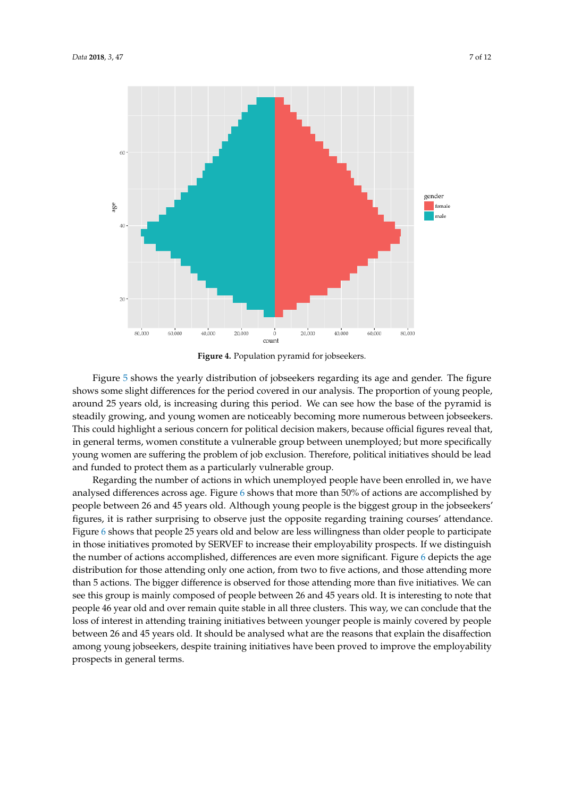<span id="page-6-0"></span>

**Figure 4.** Population pyramid for jobseekers.

Figure [5](#page-7-0) shows the yearly distribution of jobseekers regarding its age and gender. The figure shows some slight differences for the period covered in our analysis. The proportion of young people, around 25 years old, is increasing during this period. We can see how the base of the pyramid is steadily growing, and young women are noticeably becoming more numerous between jobseekers. This could highlight a serious concern for political decision makers, because official figures reveal that, in general terms, women constitute a vulnerable group between unemployed; but more specifically young women are suffering the problem of job exclusion. Therefore, political initiatives should be lead and funded to protect them as a particularly vulnerable group.

Regarding the number of actions in which unemployed people have been enrolled in, we have analysed differences across age. Figure [6](#page-7-1) shows that more than 50% of actions are accomplished by people between 26 and 45 years old. Although young people is the biggest group in the jobseekers' figures, it is rather surprising to observe just the opposite regarding training courses' attendance. Figure [6](#page-7-1) shows that people 25 years old and below are less willingness than older people to participate in those initiatives promoted by SERVEF to increase their employability prospects. If we distinguish the number of actions accomplished, differences are even more significant. Figure [6](#page-7-1) depicts the age distribution for those attending only one action, from two to five actions, and those attending more than 5 actions. The bigger difference is observed for those attending more than five initiatives. We can see this group is mainly composed of people between 26 and 45 years old. It is interesting to note that people 46 year old and over remain quite stable in all three clusters. This way, we can conclude that the loss of interest in attending training initiatives between younger people is mainly covered by people between 26 and 45 years old. It should be analysed what are the reasons that explain the disaffection among young jobseekers, despite training initiatives have been proved to improve the employability prospects in general terms.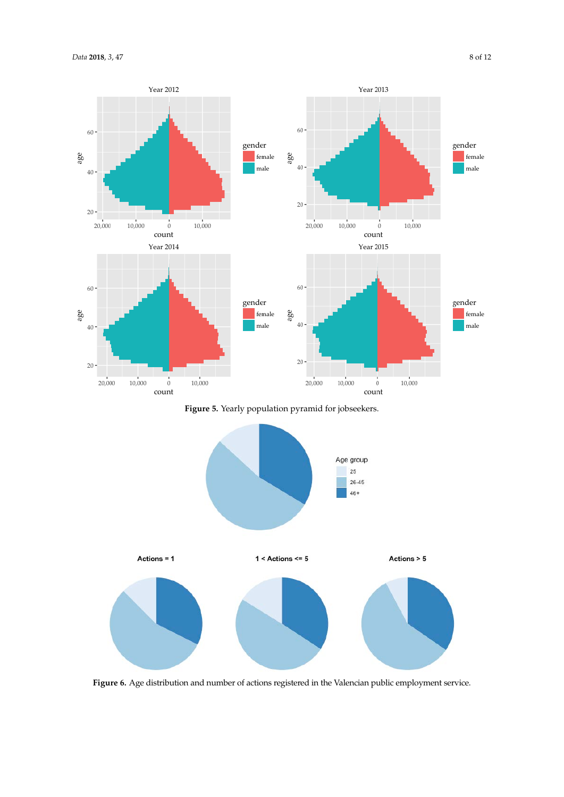<span id="page-7-0"></span>

**Figure 5.** Yearly population pyramid for jobseekers.

<span id="page-7-1"></span>

**Figure 6.** Age distribution and number of actions registered in the Valencian public employment service.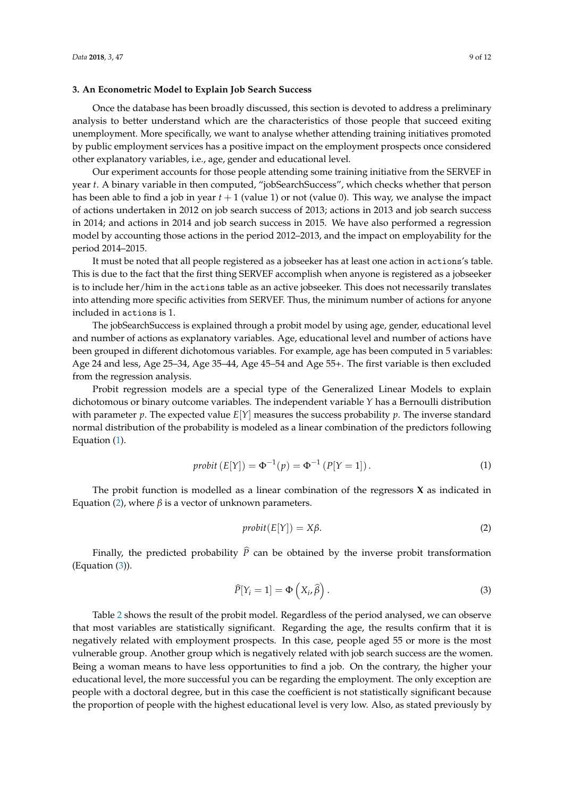#### <span id="page-8-0"></span>**3. An Econometric Model to Explain Job Search Success**

Once the database has been broadly discussed, this section is devoted to address a preliminary analysis to better understand which are the characteristics of those people that succeed exiting unemployment. More specifically, we want to analyse whether attending training initiatives promoted by public employment services has a positive impact on the employment prospects once considered other explanatory variables, i.e., age, gender and educational level.

Our experiment accounts for those people attending some training initiative from the SERVEF in year *t*. A binary variable in then computed, "jobSearchSuccess", which checks whether that person has been able to find a job in year *t* + 1 (value 1) or not (value 0). This way, we analyse the impact of actions undertaken in 2012 on job search success of 2013; actions in 2013 and job search success in 2014; and actions in 2014 and job search success in 2015. We have also performed a regression model by accounting those actions in the period 2012–2013, and the impact on employability for the period 2014–2015.

It must be noted that all people registered as a jobseeker has at least one action in actions's table. This is due to the fact that the first thing SERVEF accomplish when anyone is registered as a jobseeker is to include her/him in the actions table as an active jobseeker. This does not necessarily translates into attending more specific activities from SERVEF. Thus, the minimum number of actions for anyone included in actions is 1.

The jobSearchSuccess is explained through a probit model by using age, gender, educational level and number of actions as explanatory variables. Age, educational level and number of actions have been grouped in different dichotomous variables. For example, age has been computed in 5 variables: Age 24 and less, Age 25–34, Age 35–44, Age 45–54 and Age 55+. The first variable is then excluded from the regression analysis.

Probit regression models are a special type of the Generalized Linear Models to explain dichotomous or binary outcome variables. The independent variable *Y* has a Bernoulli distribution with parameter  $p$ . The expected value  $E[Y]$  measures the success probability  $p$ . The inverse standard normal distribution of the probability is modeled as a linear combination of the predictors following Equation [\(1\)](#page-8-1).

$$
probit (E[Y]) = \Phi^{-1}(p) = \Phi^{-1}(P[Y = 1]).
$$
\n(1)

<span id="page-8-1"></span>The probit function is modelled as a linear combination of the regressors **X** as indicated in Equation [\(2\)](#page-8-2), where *β* is a vector of unknown parameters.

$$
probit(E[Y]) = X\beta. \tag{2}
$$

<span id="page-8-2"></span>Finally, the predicted probability  $\hat{P}$  can be obtained by the inverse probit transformation (Equation [\(3\)](#page-8-3)).

$$
\widehat{P}[Y_i = 1] = \Phi\left(X_i, \widehat{\beta}\right). \tag{3}
$$

<span id="page-8-3"></span>Table [2](#page-9-0) shows the result of the probit model. Regardless of the period analysed, we can observe that most variables are statistically significant. Regarding the age, the results confirm that it is negatively related with employment prospects. In this case, people aged 55 or more is the most vulnerable group. Another group which is negatively related with job search success are the women. Being a woman means to have less opportunities to find a job. On the contrary, the higher your educational level, the more successful you can be regarding the employment. The only exception are people with a doctoral degree, but in this case the coefficient is not statistically significant because the proportion of people with the highest educational level is very low. Also, as stated previously by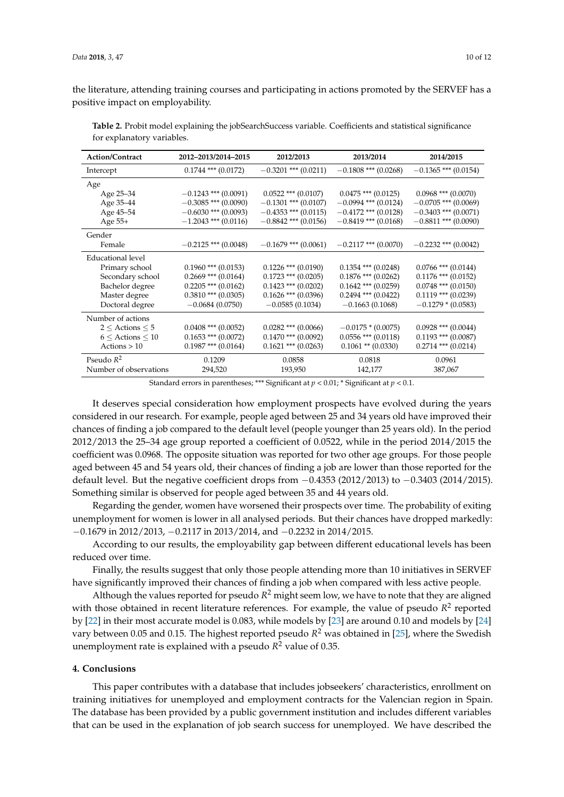the literature, attending training courses and participating in actions promoted by the SERVEF has a positive impact on employability.

**Action/Contract 2012–2013/2014–2015 2012/2013 2013/2014 2014/2015** Intercept 0.1744 \*\*\* (0.0172) −0.3201 \*\*\* (0.0211) −0.1808 \*\*\* (0.0268) −0.1365 \*\*\* (0.0154) Age<br>Age 25–34 Age 25–34  $-0.1243$  \*\*\*  $(0.0091)$   $0.0522$  \*\*\*  $(0.0107)$   $0.0475$  \*\*\*  $(0.0125)$   $0.0968$  \*\*\*  $(0.0070)$ <br>Age 35–44  $-0.3085$  \*\*\*  $(0.0090)$   $-0.1301$  \*\*\*  $(0.0107)$   $-0.0994$  \*\*\*  $(0.0124)$   $-0.0705$  \*\*\*  $(0.0069)$ Age 35–44 −0.3085 \*\*\* (0.0090) −0.1301 \*\*\* (0.0107) −0.0994 \*\*\* (0.0124) −0.0705 \*\*\* (0.0069)<br>Age 45–54 −0.6030 \*\*\* (0.0093) −0.4353 \*\*\* (0.0115) −0.4172 \*\*\* (0.0128) −0.3403 \*\*\* (0.0071)  $\text{Age 45–54}$   $-0.6030$  \*\*\*  $(0.0093)$   $-0.4353$  \*\*\*  $(0.0115)$   $-0.4172$  \*\*\*  $(0.0128)$   $-0.3403$  \*\*\*  $(0.0071)$ <br>Age 55+  $-1.2043$  \*\*\*  $(0.0116)$   $-0.8842$  \*\*\*  $(0.0156)$   $-0.8419$  \*\*\*  $(0.0168)$   $-0.8811$  \*\*\*  $(0.0090)$  $-0.8842$  \*\*\* (0.0156) Gender<br>Female  $-0.2125$ \*\*\* (0.0048)  $-0.1679$ \*\*\* (0.0061)  $-0.2117$ \*\*\* (0.0070)  $-0.2232$ \*\*\* (0.0042) Educational level Primary school  $0.1960$  \*\*\*  $(0.0153)$   $0.1226$  \*\*\*  $(0.0190)$   $0.1354$  \*\*\*  $(0.0248)$   $0.0766$  \*\*\*  $(0.0144)$ <br>Secondary school  $0.2669$  \*\*\*  $(0.0164)$   $0.1723$  \*\*\*  $(0.0205)$   $0.1876$  \*\*\*  $(0.0262)$   $0.1176$  \*\*\*  $(0.0152)$ Secondary school  $0.2669$  \*\*\*  $(0.0164)$   $0.1723$  \*\*\*  $(0.0205)$   $0.1876$  \*\*\*  $(0.0262)$  0.1176 \*\*\*  $(0.0152)$ <br>Bachelor degree  $0.2205$  \*\*\*  $(0.0162)$  0.1423 \*\*\*  $(0.0202)$  0.1642 \*\*\*  $(0.0259)$  0.0748 \*\*\*  $(0.0150)$ Bachelor degree  $0.2205$  \*\*\*  $(0.0162)$   $0.1423$  \*\*\*  $(0.0202)$   $0.1642$  \*\*\*  $(0.0259)$   $0.0748$  \*\*\*  $(0.0150)$ <br>Master degree  $0.3810$  \*\*\*  $(0.0305)$   $0.1626$  \*\*\*  $(0.0396)$   $0.2494$  \*\*\*  $(0.0422)$   $0.1119$  \*\*\*  $(0.0239)$ Master degree  $0.3810$  \*\*\*  $(0.0305)$   $0.1626$  \*\*\*  $(0.0396)$   $0.2494$  \*\*\*  $(0.0422)$ <br>Doctoral degree  $-0.0684$   $(0.0750)$   $-0.0585$   $(0.1034)$   $-0.1663$   $(0.1068)$  $-0.1279 * (0.0583)$ Number of actions  $2 \leq$  Actions  $\leq$  5 0.0408 \*\*\* (0.0052) 0.0282 \*\*\* (0.0066)  $-0.0175$  \* (0.0075) 0.0928 \*\*\* (0.0044)<br>  $6 \leq$  Actions  $\leq$  10 0.1653 \*\*\* (0.0072) 0.1470 \*\*\* (0.0092) 0.0556 \*\*\* (0.0118) 0.1193 \*\*\* (0.0087)  $6 \leq$  Actions  $\leq$  10 0.1653 \*\*\* (0.0072) 0.1470 \*\*\* (0.0092) 0.0556 \*\*\* (0.0118)<br>Actions > 10 0.1987 \*\*\* (0.0164) 0.1621 \*\*\* (0.0263) 0.1061 \*\* (0.0330) Actions >  $10$  0.1987 \*\*\* (0.0164) 0.1621 \*\*\* (0.0263) 0.1061 \*\* (0.0330) 0.2714 \*\*\* (0.0214) Pseudo *R* 2 0.1209 0.0858 0.0818 0.0961 Number of observations 294,520 193,950 142,177 387,067

<span id="page-9-0"></span>**Table 2.** Probit model explaining the jobSearchSuccess variable. Coefficients and statistical significance for explanatory variables.

Standard errors in parentheses; \*\*\* Significant at  $p < 0.01$ ; \* Significant at  $p < 0.1$ .

It deserves special consideration how employment prospects have evolved during the years considered in our research. For example, people aged between 25 and 34 years old have improved their chances of finding a job compared to the default level (people younger than 25 years old). In the period 2012/2013 the 25–34 age group reported a coefficient of 0.0522, while in the period 2014/2015 the coefficient was 0.0968. The opposite situation was reported for two other age groups. For those people aged between 45 and 54 years old, their chances of finding a job are lower than those reported for the default level. But the negative coefficient drops from −0.4353 (2012/2013) to −0.3403 (2014/2015). Something similar is observed for people aged between 35 and 44 years old.

Regarding the gender, women have worsened their prospects over time. The probability of exiting unemployment for women is lower in all analysed periods. But their chances have dropped markedly: −0.1679 in 2012/2013, −0.2117 in 2013/2014, and −0.2232 in 2014/2015.

According to our results, the employability gap between different educational levels has been reduced over time.

Finally, the results suggest that only those people attending more than 10 initiatives in SERVEF have significantly improved their chances of finding a job when compared with less active people.

Although the values reported for pseudo  $R^2$  might seem low, we have to note that they are aligned with those obtained in recent literature references. For example, the value of pseudo  $R^2$  reported by [\[22\]](#page-11-6) in their most accurate model is 0.083, while models by [\[23\]](#page-11-7) are around 0.10 and models by [\[24\]](#page-11-8) vary between 0.05 and 0.15. The highest reported pseudo *R* <sup>2</sup> was obtained in [\[25\]](#page-11-9), where the Swedish unemployment rate is explained with a pseudo *R* <sup>2</sup> value of 0.35.

#### **4. Conclusions**

This paper contributes with a database that includes jobseekers' characteristics, enrollment on training initiatives for unemployed and employment contracts for the Valencian region in Spain. The database has been provided by a public government institution and includes different variables that can be used in the explanation of job search success for unemployed. We have described the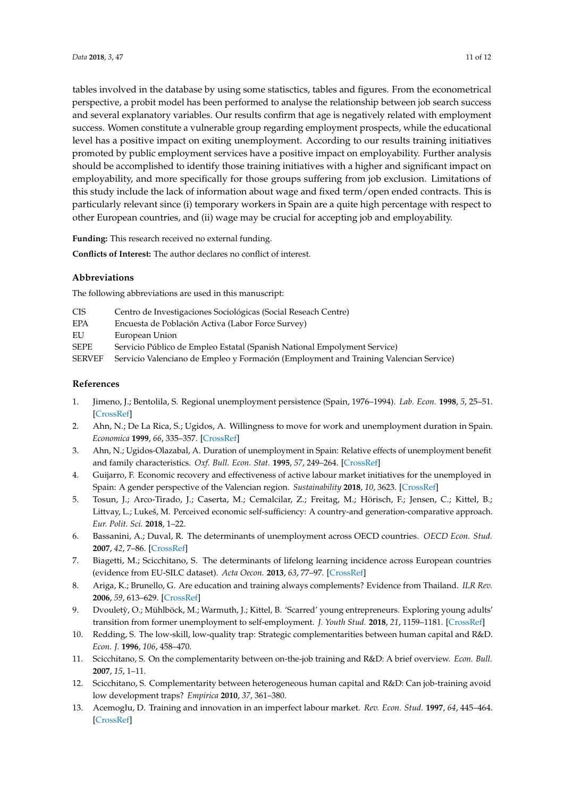tables involved in the database by using some statisctics, tables and figures. From the econometrical perspective, a probit model has been performed to analyse the relationship between job search success and several explanatory variables. Our results confirm that age is negatively related with employment success. Women constitute a vulnerable group regarding employment prospects, while the educational level has a positive impact on exiting unemployment. According to our results training initiatives promoted by public employment services have a positive impact on employability. Further analysis should be accomplished to identify those training initiatives with a higher and significant impact on employability, and more specifically for those groups suffering from job exclusion. Limitations of this study include the lack of information about wage and fixed term/open ended contracts. This is particularly relevant since (i) temporary workers in Spain are a quite high percentage with respect to other European countries, and (ii) wage may be crucial for accepting job and employability.

**Funding:** This research received no external funding.

**Conflicts of Interest:** The author declares no conflict of interest.

## **Abbreviations**

The following abbreviations are used in this manuscript:

- CIS Centro de Investigaciones Sociológicas (Social Reseach Centre)
- EPA Encuesta de Población Activa (Labor Force Survey)
- EU European Union

SEPE Servicio Público de Empleo Estatal (Spanish National Empolyment Service)

SERVEF Servicio Valenciano de Empleo y Formación (Employment and Training Valencian Service)

### **References**

- <span id="page-10-0"></span>1. Jimeno, J.; Bentolila, S. Regional unemployment persistence (Spain, 1976–1994). *Lab. Econ.* **1998**, *5*, 25–51. [\[CrossRef\]](http://dx.doi.org/10.1016/S0927-5371(96)00019-X)
- <span id="page-10-1"></span>2. Ahn, N.; De La Rica, S.; Ugidos, A. Willingness to move for work and unemployment duration in Spain. *Economica* **1999**, *66*, 335–357. [\[CrossRef\]](http://dx.doi.org/10.1111/1468-0335.00174)
- <span id="page-10-2"></span>3. Ahn, N.; Ugidos-Olazabal, A. Duration of unemployment in Spain: Relative effects of unemployment benefit and family characteristics. *Oxf. Bull. Econ. Stat.* **1995**, *57*, 249–264. [\[CrossRef\]](http://dx.doi.org/10.1111/j.1468-0084.1995.mp57002006.x)
- <span id="page-10-3"></span>4. Guijarro, F. Economic recovery and effectiveness of active labour market initiatives for the unemployed in Spain: A gender perspective of the Valencian region. *Sustainability* **2018**, *10*, 3623. [\[CrossRef\]](http://dx.doi.org/10.3390/su10103623)
- <span id="page-10-4"></span>5. Tosun, J.; Arco-Tirado, J.; Caserta, M.; Cemalcilar, Z.; Freitag, M.; Hörisch, F.; Jensen, C.; Kittel, B.; Littvay, L.; Lukeš, M. Perceived economic self-sufficiency: A country-and generation-comparative approach. *Eur. Polit. Sci.* **2018**, 1–22.
- <span id="page-10-5"></span>6. Bassanini, A.; Duval, R. The determinants of unemployment across OECD countries. *OECD Econ. Stud.* **2007**, *42*, 7–86. [\[CrossRef\]](http://dx.doi.org/10.1787/eco_studies-v2006-art2-en)
- <span id="page-10-6"></span>7. Biagetti, M.; Scicchitano, S. The determinants of lifelong learning incidence across European countries (evidence from EU-SILC dataset). *Acta Oecon.* **2013**, *63*, 77–97. [\[CrossRef\]](http://dx.doi.org/10.1556/AOecon.63.2013.1.5)
- <span id="page-10-7"></span>8. Ariga, K.; Brunello, G. Are education and training always complements? Evidence from Thailand. *ILR Rev.* **2006**, *59*, 613–629. [\[CrossRef\]](http://dx.doi.org/10.1177/001979390605900405)
- <span id="page-10-8"></span>9. Dvouletỳ, O.; Mühlböck, M.; Warmuth, J.; Kittel, B. 'Scarred' young entrepreneurs. Exploring young adults' transition from former unemployment to self-employment. *J. Youth Stud.* **2018**, *21*, 1159–1181. [\[CrossRef\]](http://dx.doi.org/10.1080/13676261.2018.1450971)
- <span id="page-10-9"></span>10. Redding, S. The low-skill, low-quality trap: Strategic complementarities between human capital and R&D. *Econ. J.* **1996**, *106*, 458–470.
- <span id="page-10-10"></span>11. Scicchitano, S. On the complementarity between on-the-job training and R&D: A brief overview. *Econ. Bull.* **2007**, *15*, 1–11.
- <span id="page-10-11"></span>12. Scicchitano, S. Complementarity between heterogeneous human capital and R&D: Can job-training avoid low development traps? *Empirica* **2010**, *37*, 361–380.
- <span id="page-10-12"></span>13. Acemoglu, D. Training and innovation in an imperfect labour market. *Rev. Econ. Stud.* **1997**, *64*, 445–464. [\[CrossRef\]](http://dx.doi.org/10.2307/2971723)